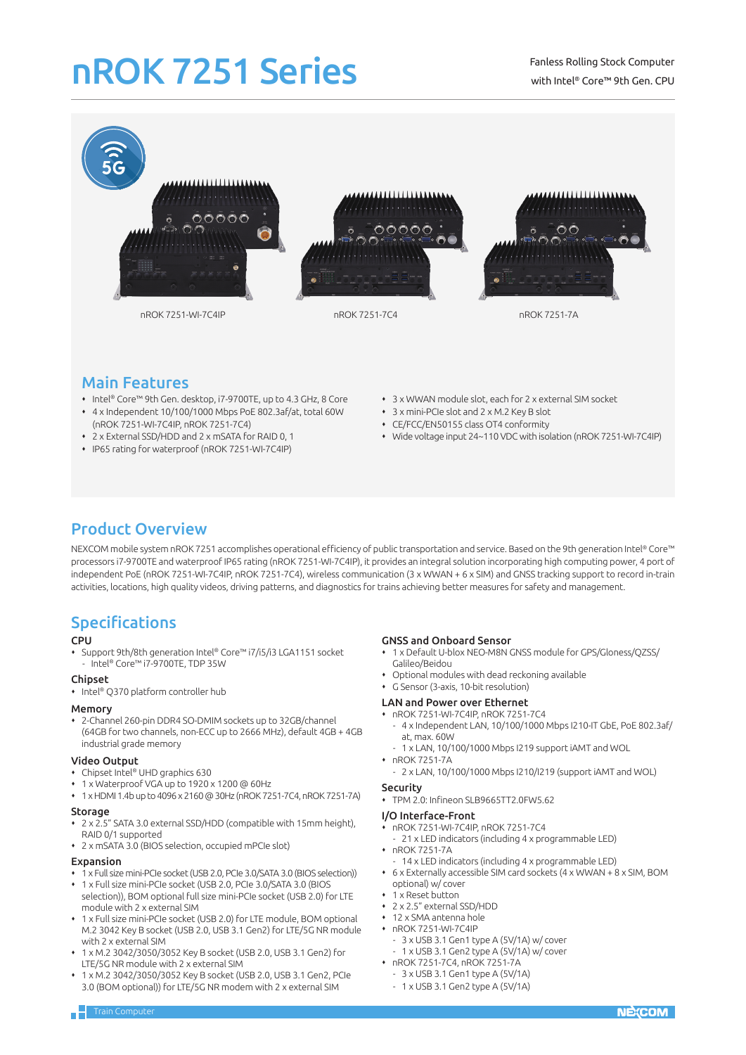# nROK 7251 Series



## Main Features

- Intel® Core™ 9th Gen. desktop, i7-9700TE, up to 4.3 GHz, 8 Core
- 4 x Independent 10/100/1000 Mbps PoE 802.3af/at, total 60W (nROK 7251-WI-7C4IP, nROK 7251-7C4)
- 2 x External SSD/HDD and 2 x mSATA for RAID 0, 1
- IP65 rating for waterproof (nROK 7251-WI-7C4IP)
- 3 x WWAN module slot, each for 2 x external SIM socket
- 3 x mini-PCIe slot and 2 x M.2 Key B slot
- CE/FCC/EN50155 class OT4 conformity
- Wide voltage input 24~110 VDC with isolation (nROK 7251-WI-7C4IP)

# Product Overview

NEXCOM mobile system nROK 7251 accomplishes operational efficiency of public transportation and service. Based on the 9th generation Intel® Core™ processors i7-9700TE and waterproof IP65 rating (nROK 7251-WI-7C4IP), it provides an integral solution incorporating high computing power, 4 port of independent PoE (nROK 7251-WI-7C4IP, nROK 7251-7C4), wireless communication (3 x WWAN + 6 x SIM) and GNSS tracking support to record in-train activities, locations, high quality videos, driving patterns, and diagnostics for trains achieving better measures for safety and management.

### Specifications

### **CPU**

 Support 9th/8th generation Intel® Core™ i7/i5/i3 LGA1151 socket - Intel® Core™ i7-9700TE, TDP 35W

### Chipset

• Intel® Q370 platform controller hub

### Memory

 2-Channel 260-pin DDR4 SO-DMIM sockets up to 32GB/channel (64GB for two channels, non-ECC up to 2666 MHz), default 4GB + 4GB industrial grade memory

### Video Output

- Chipset Intel® UHD graphics 630
- 1 x Waterproof VGA up to 1920 x 1200 @ 60Hz
- 1 x HDMI 1.4b up to 4096 x 2160 @ 30Hz (nROK 7251-7C4, nROK 7251-7A)

### Storage

- 2 x 2.5" SATA 3.0 external SSD/HDD (compatible with 15mm height), RAID 0/1 supported
- 2 x mSATA 3.0 (BIOS selection, occupied mPCIe slot)

### Expansion

- 1 x Full size mini-PCIe socket (USB 2.0, PCIe 3.0/SATA 3.0 (BIOS selection))
- 1 x Full size mini-PCIe socket (USB 2.0, PCIe 3.0/SATA 3.0 (BIOS selection)), BOM optional full size mini-PCIe socket (USB 2.0) for LTE module with 2 x external SIM
- 1 x Full size mini-PCIe socket (USB 2.0) for LTE module, BOM optional M.2 3042 Key B socket (USB 2.0, USB 3.1 Gen2) for LTE/5G NR module with 2 x external SIM
- 1 x M.2 3042/3050/3052 Key B socket (USB 2.0, USB 3.1 Gen2) for LTE/5G NR module with 2 x external SIM
- 1 x M.2 3042/3050/3052 Key B socket (USB 2.0, USB 3.1 Gen2, PCIe 3.0 (BOM optional)) for LTE/5G NR modem with 2 x external SIM

### GNSS and Onboard Sensor

- 1 x Default U-blox NEO-M8N GNSS module for GPS/Gloness/QZSS/ Galileo/Beidou
- Optional modules with dead reckoning available
- G Sensor (3-axis, 10-bit resolution)

### LAN and Power over Ethernet

- nROK 7251-WI-7C4IP, nROK 7251-7C4
- 4 x Independent LAN, 10/100/1000 Mbps I210-IT GbE, PoE 802.3af/ at, may. 60W
- 1 x LAN, 10/100/1000 Mbps I219 support iAMT and WOL
- nROK 7251-7A
- 2 x LAN, 10/100/1000 Mbps I210/I219 (support iAMT and WOL)
- Security
- TPM 2.0: Infineon SLB9665TT2.0FW5.62

### I/O Interface-Front

- nROK 7251-WI-7C4IP, nROK 7251-7C4
- 21 x LED indicators (including 4 x programmable LED)
- nROK 7251-7A
- 14 x LED indicators (including 4 x programmable LED)
- 6 x Externally accessible SIM card sockets (4 x WWAN + 8 x SIM, BOM optional) w/ cover
- 1 x Reset button
- 2 x 2.5" external SSD/HDD
- 12 x SMA antenna hole
- nROK 7251-WI-7C4IP
- 3 x USB 3.1 Gen1 type A (5V/1A) w/ cover
- 1 x USB 3.1 Gen2 type A (5V/1A) w/ cover nROK 7251-7C4, nROK 7251-7A
- $-3$  x USB 3.1 Gen1 type A (5V/1A)
- 1 x USB 3.1 Gen2 type A (5V/1A)